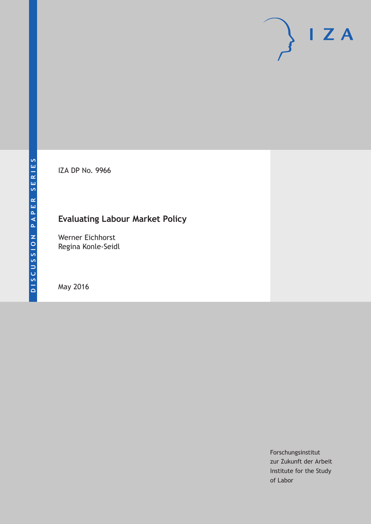IZA DP No. 9966

# **Evaluating Labour Market Policy**

Werner Eichhorst Regina Konle-Seidl

May 2016

Forschungsinstitut zur Zukunft der Arbeit Institute for the Study of Labor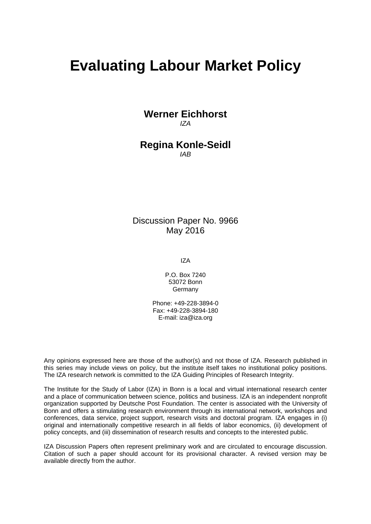# **Evaluating Labour Market Policy**

**Werner Eichhorst**  *IZA* 

**Regina Konle-Seidl**  *IAB* 

Discussion Paper No. 9966 May 2016

IZA

P.O. Box 7240 53072 Bonn Germany

Phone: +49-228-3894-0 Fax: +49-228-3894-180 E-mail: iza@iza.org

Any opinions expressed here are those of the author(s) and not those of IZA. Research published in this series may include views on policy, but the institute itself takes no institutional policy positions. The IZA research network is committed to the IZA Guiding Principles of Research Integrity.

The Institute for the Study of Labor (IZA) in Bonn is a local and virtual international research center and a place of communication between science, politics and business. IZA is an independent nonprofit organization supported by Deutsche Post Foundation. The center is associated with the University of Bonn and offers a stimulating research environment through its international network, workshops and conferences, data service, project support, research visits and doctoral program. IZA engages in (i) original and internationally competitive research in all fields of labor economics, (ii) development of policy concepts, and (iii) dissemination of research results and concepts to the interested public.

IZA Discussion Papers often represent preliminary work and are circulated to encourage discussion. Citation of such a paper should account for its provisional character. A revised version may be available directly from the author.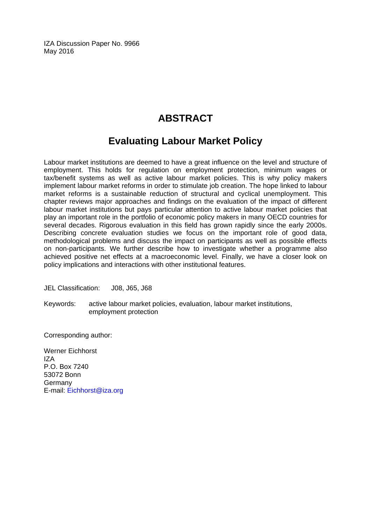IZA Discussion Paper No. 9966 May 2016

## **ABSTRACT**

## **Evaluating Labour Market Policy**

Labour market institutions are deemed to have a great influence on the level and structure of employment. This holds for regulation on employment protection, minimum wages or tax/benefit systems as well as active labour market policies. This is why policy makers implement labour market reforms in order to stimulate job creation. The hope linked to labour market reforms is a sustainable reduction of structural and cyclical unemployment. This chapter reviews major approaches and findings on the evaluation of the impact of different labour market institutions but pays particular attention to active labour market policies that play an important role in the portfolio of economic policy makers in many OECD countries for several decades. Rigorous evaluation in this field has grown rapidly since the early 2000s. Describing concrete evaluation studies we focus on the important role of good data, methodological problems and discuss the impact on participants as well as possible effects on non-participants. We further describe how to investigate whether a programme also achieved positive net effects at a macroeconomic level. Finally, we have a closer look on policy implications and interactions with other institutional features.

JEL Classification: J08, J65, J68

Keywords: active labour market policies, evaluation, labour market institutions, employment protection

Corresponding author:

Werner Eichhorst IZA P.O. Box 7240 53072 Bonn Germany E-mail: Eichhorst@iza.org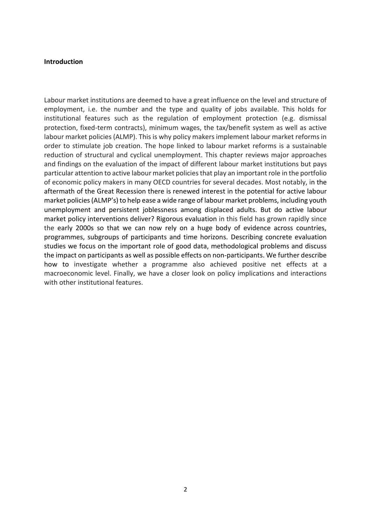#### **Introduction**

Labour market institutions are deemed to have a great influence on the level and structure of employment, i.e. the number and the type and quality of jobs available. This holds for institutional features such as the regulation of employment protection (e.g. dismissal protection, fixed-term contracts), minimum wages, the tax/benefit system as well as active labour market policies (ALMP). This is why policy makers implement labour market reforms in order to stimulate job creation. The hope linked to labour market reforms is a sustainable reduction of structural and cyclical unemployment. This chapter reviews major approaches and findings on the evaluation of the impact of different labour market institutions but pays particular attention to active labour market policiesthat play an important role in the portfolio of economic policy makers in many OECD countries for several decades. Most notably, in the aftermath of the Great Recession there is renewed interest in the potential for active labour market policies (ALMP's) to help ease a wide range of labour market problems, including youth unemployment and persistent joblessness among displaced adults. But do active labour market policy interventions deliver? Rigorous evaluation in this field has grown rapidly since the early 2000s so that we can now rely on a huge body of evidence across countries, programmes, subgroups of participants and time horizons. Describing concrete evaluation studies we focus on the important role of good data, methodological problems and discuss the impact on participants as well as possible effects on non-participants. We further describe how to investigate whether a programme also achieved positive net effects at a macroeconomic level. Finally, we have a closer look on policy implications and interactions with other institutional features.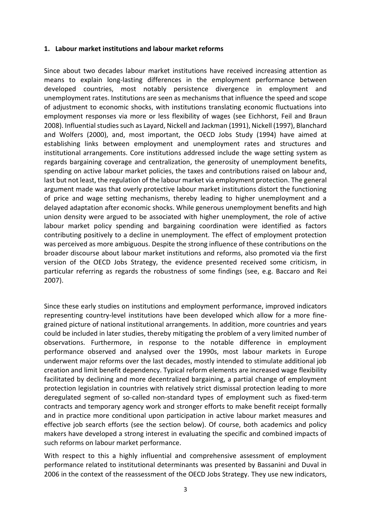#### **1. Labour market institutions and labour market reforms**

Since about two decades labour market institutions have received increasing attention as means to explain long-lasting differences in the employment performance between developed countries, most notably persistence divergence in employment and unemployment rates. Institutions are seen as mechanisms that influence the speed and scope of adjustment to economic shocks, with institutions translating economic fluctuations into employment responses via more or less flexibility of wages (see Eichhorst, Feil and Braun 2008). Influential studies such as Layard, Nickell and Jackman (1991), Nickell (1997), Blanchard and Wolfers (2000), and, most important, the OECD Jobs Study (1994) have aimed at establishing links between employment and unemployment rates and structures and institutional arrangements. Core institutions addressed include the wage setting system as regards bargaining coverage and centralization, the generosity of unemployment benefits, spending on active labour market policies, the taxes and contributions raised on labour and, last but not least, the regulation of the labour market via employment protection. The general argument made was that overly protective labour market institutions distort the functioning of price and wage setting mechanisms, thereby leading to higher unemployment and a delayed adaptation after economic shocks. While generous unemployment benefits and high union density were argued to be associated with higher unemployment, the role of active labour market policy spending and bargaining coordination were identified as factors contributing positively to a decline in unemployment. The effect of employment protection was perceived as more ambiguous. Despite the strong influence of these contributions on the broader discourse about labour market institutions and reforms, also promoted via the first version of the OECD Jobs Strategy, the evidence presented received some criticism, in particular referring as regards the robustness of some findings (see, e.g. Baccaro and Rei 2007).

Since these early studies on institutions and employment performance, improved indicators representing country-level institutions have been developed which allow for a more finegrained picture of national institutional arrangements. In addition, more countries and years could be included in later studies, thereby mitigating the problem of a very limited number of observations. Furthermore, in response to the notable difference in employment performance observed and analysed over the 1990s, most labour markets in Europe underwent major reforms over the last decades, mostly intended to stimulate additional job creation and limit benefit dependency. Typical reform elements are increased wage flexibility facilitated by declining and more decentralized bargaining, a partial change of employment protection legislation in countries with relatively strict dismissal protection leading to more deregulated segment of so-called non-standard types of employment such as fixed-term contracts and temporary agency work and stronger efforts to make benefit receipt formally and in practice more conditional upon participation in active labour market measures and effective job search efforts (see the section below). Of course, both academics and policy makers have developed a strong interest in evaluating the specific and combined impacts of such reforms on labour market performance.

With respect to this a highly influential and comprehensive assessment of employment performance related to institutional determinants was presented by Bassanini and Duval in 2006 in the context of the reassessment of the OECD Jobs Strategy. They use new indicators,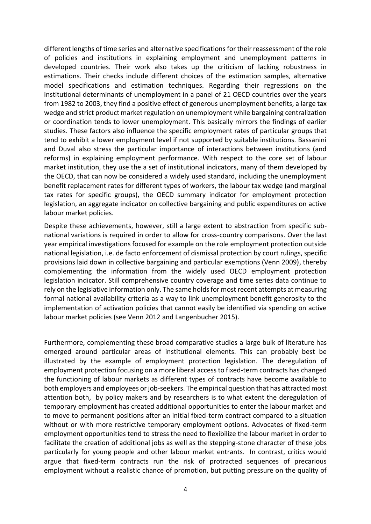different lengths of time series and alternative specifications for their reassessment of the role of policies and institutions in explaining employment and unemployment patterns in developed countries. Their work also takes up the criticism of lacking robustness in estimations. Their checks include different choices of the estimation samples, alternative model specifications and estimation techniques. Regarding their regressions on the institutional determinants of unemployment in a panel of 21 OECD countries over the years from 1982 to 2003, they find a positive effect of generous unemployment benefits, a large tax wedge and strict product market regulation on unemployment while bargaining centralization or coordination tends to lower unemployment. This basically mirrors the findings of earlier studies. These factors also influence the specific employment rates of particular groups that tend to exhibit a lower employment level if not supported by suitable institutions. Bassanini and Duval also stress the particular importance of interactions between institutions (and reforms) in explaining employment performance. With respect to the core set of labour market institution, they use the a set of institutional indicators, many of them developed by the OECD, that can now be considered a widely used standard, including the unemployment benefit replacement rates for different types of workers, the labour tax wedge (and marginal tax rates for specific groups), the OECD summary indicator for employment protection legislation, an aggregate indicator on collective bargaining and public expenditures on active labour market policies.

Despite these achievements, however, still a large extent to abstraction from specific subnational variations is required in order to allow for cross-country comparisons. Over the last year empirical investigations focused for example on the role employment protection outside national legislation, i.e. de facto enforcement of dismissal protection by court rulings, specific provisions laid down in collective bargaining and particular exemptions (Venn 2009), thereby complementing the information from the widely used OECD employment protection legislation indicator. Still comprehensive country coverage and time series data continue to rely on the legislative information only. The same holds for most recent attempts at measuring formal national availability criteria as a way to link unemployment benefit generosity to the implementation of activation policies that cannot easily be identified via spending on active labour market policies (see Venn 2012 and Langenbucher 2015).

Furthermore, complementing these broad comparative studies a large bulk of literature has emerged around particular areas of institutional elements. This can probably best be illustrated by the example of employment protection legislation. The deregulation of employment protection focusing on a more liberal access to fixed-term contracts has changed the functioning of labour markets as different types of contracts have become available to both employers and employees or job-seekers. The empirical question that has attracted most attention both, by policy makers and by researchers is to what extent the deregulation of temporary employment has created additional opportunities to enter the labour market and to move to permanent positions after an initial fixed-term contract compared to a situation without or with more restrictive temporary employment options. Advocates of fixed-term employment opportunities tend to stress the need to flexibilize the labour market in order to facilitate the creation of additional jobs as well as the stepping-stone character of these jobs particularly for young people and other labour market entrants. In contrast, critics would argue that fixed-term contracts run the risk of protracted sequences of precarious employment without a realistic chance of promotion, but putting pressure on the quality of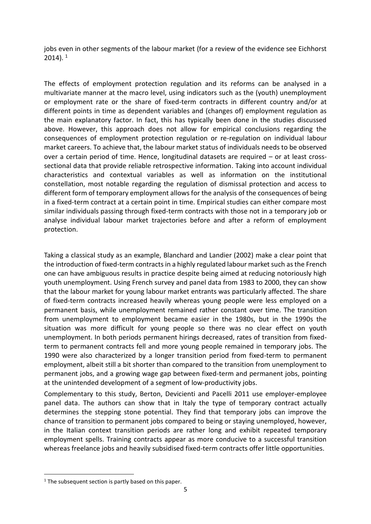jobs even in other segments of the labour market (for a review of the evidence see Eichhorst 2014). 1

The effects of employment protection regulation and its reforms can be analysed in a multivariate manner at the macro level, using indicators such as the (youth) unemployment or employment rate or the share of fixed-term contracts in different country and/or at different points in time as dependent variables and (changes of) employment regulation as the main explanatory factor. In fact, this has typically been done in the studies discussed above. However, this approach does not allow for empirical conclusions regarding the consequences of employment protection regulation or re-regulation on individual labour market careers. To achieve that, the labour market status of individuals needs to be observed over a certain period of time. Hence, longitudinal datasets are required – or at least crosssectional data that provide reliable retrospective information. Taking into account individual characteristics and contextual variables as well as information on the institutional constellation, most notable regarding the regulation of dismissal protection and access to different form of temporary employment allows for the analysis of the consequences of being in a fixed-term contract at a certain point in time. Empirical studies can either compare most similar individuals passing through fixed-term contracts with those not in a temporary job or analyse individual labour market trajectories before and after a reform of employment protection.

Taking a classical study as an example, Blanchard and Landier (2002) make a clear point that the introduction of fixed-term contracts in a highly regulated labour market such as the French one can have ambiguous results in practice despite being aimed at reducing notoriously high youth unemployment. Using French survey and panel data from 1983 to 2000, they can show that the labour market for young labour market entrants was particularly affected. The share of fixed-term contracts increased heavily whereas young people were less employed on a permanent basis, while unemployment remained rather constant over time. The transition from unemployment to employment became easier in the 1980s, but in the 1990s the situation was more difficult for young people so there was no clear effect on youth unemployment. In both periods permanent hirings decreased, rates of transition from fixedterm to permanent contracts fell and more young people remained in temporary jobs. The 1990 were also characterized by a longer transition period from fixed-term to permanent employment, albeit still a bit shorter than compared to the transition from unemployment to permanent jobs, and a growing wage gap between fixed-term and permanent jobs, pointing at the unintended development of a segment of low-productivity jobs.

Complementary to this study, Berton, Devicienti and Pacelli 2011 use employer-employee panel data. The authors can show that in Italy the type of temporary contract actually determines the stepping stone potential. They find that temporary jobs can improve the chance of transition to permanent jobs compared to being or staying unemployed, however, in the Italian context transition periods are rather long and exhibit repeated temporary employment spells. Training contracts appear as more conducive to a successful transition whereas freelance jobs and heavily subsidised fixed-term contracts offer little opportunities.

**.** 

 $1$  The subsequent section is partly based on this paper.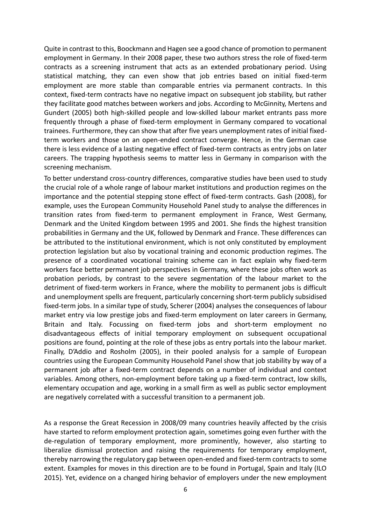Quite in contrast to this, Boockmann and Hagen see a good chance of promotion to permanent employment in Germany. In their 2008 paper, these two authors stress the role of fixed-term contracts as a screening instrument that acts as an extended probationary period. Using statistical matching, they can even show that job entries based on initial fixed-term employment are more stable than comparable entries via permanent contracts. In this context, fixed-term contracts have no negative impact on subsequent job stability, but rather they facilitate good matches between workers and jobs. According to McGinnity, Mertens and Gundert (2005) both high-skilled people and low-skilled labour market entrants pass more frequently through a phase of fixed-term employment in Germany compared to vocational trainees. Furthermore, they can show that after five years unemployment rates of initial fixedterm workers and those on an open-ended contract converge. Hence, in the German case there is less evidence of a lasting negative effect of fixed-term contracts as entry jobs on later careers. The trapping hypothesis seems to matter less in Germany in comparison with the screening mechanism.

To better understand cross-country differences, comparative studies have been used to study the crucial role of a whole range of labour market institutions and production regimes on the importance and the potential stepping stone effect of fixed-term contracts. Gash (2008), for example, uses the European Community Household Panel study to analyse the differences in transition rates from fixed-term to permanent employment in France, West Germany, Denmark and the United Kingdom between 1995 and 2001. She finds the highest transition probabilities in Germany and the UK, followed by Denmark and France. These differences can be attributed to the institutional environment, which is not only constituted by employment protection legislation but also by vocational training and economic production regimes. The presence of a coordinated vocational training scheme can in fact explain why fixed-term workers face better permanent job perspectives in Germany, where these jobs often work as probation periods, by contrast to the severe segmentation of the labour market to the detriment of fixed-term workers in France, where the mobility to permanent jobs is difficult and unemployment spells are frequent, particularly concerning short-term publicly subsidised fixed-term jobs. In a similar type of study, Scherer (2004) analyses the consequences of labour market entry via low prestige jobs and fixed-term employment on later careers in Germany, Britain and Italy. Focussing on fixed-term jobs and short-term employment no disadvantageous effects of initial temporary employment on subsequent occupational positions are found, pointing at the role of these jobs as entry portals into the labour market. Finally, D'Addio and Rosholm (2005), in their pooled analysis for a sample of European countries using the European Community Household Panel show that job stability by way of a permanent job after a fixed-term contract depends on a number of individual and context variables. Among others, non-employment before taking up a fixed-term contract, low skills, elementary occupation and age, working in a small firm as well as public sector employment are negatively correlated with a successful transition to a permanent job.

As a response the Great Recession in 2008/09 many countries heavily affected by the crisis have started to reform employment protection again, sometimes going even further with the de-regulation of temporary employment, more prominently, however, also starting to liberalize dismissal protection and raising the requirements for temporary employment, thereby narrowing the regulatory gap between open-ended and fixed-term contracts to some extent. Examples for moves in this direction are to be found in Portugal, Spain and Italy (ILO 2015). Yet, evidence on a changed hiring behavior of employers under the new employment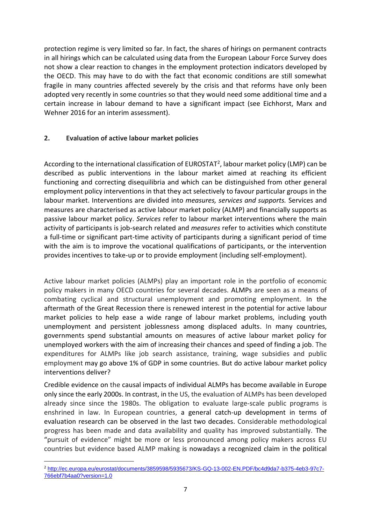protection regime is very limited so far. In fact, the shares of hirings on permanent contracts in all hirings which can be calculated using data from the European Labour Force Survey does not show a clear reaction to changes in the employment protection indicators developed by the OECD. This may have to do with the fact that economic conditions are still somewhat fragile in many countries affected severely by the crisis and that reforms have only been adopted very recently in some countries so that they would need some additional time and a certain increase in labour demand to have a significant impact (see Eichhorst, Marx and Wehner 2016 for an interim assessment).

## **2. Evaluation of active labour market policies**

**.** 

According to the international classification of EUROSTAT<sup>2</sup>, labour market policy (LMP) can be described as public interventions in the labour market aimed at reaching its efficient functioning and correcting disequilibria and which can be distinguished from other general employment policy interventions in that they act selectively to favour particular groups in the labour market. Interventions are divided into *measures, services and supports.* Services and measures are characterised as active labour market policy (ALMP) and financially supports as passive labour market policy. *Services* refer to labour market interventions where the main activity of participants is job-search related and *measures* refer to activities which constitute a full-time or significant part-time activity of participants during a significant period of time with the aim is to improve the vocational qualifications of participants, or the intervention provides incentives to take-up or to provide employment (including self-employment).

Active labour market policies (ALMPs) play an important role in the portfolio of economic policy makers in many OECD countries for several decades. ALMPs are seen as a means of combating cyclical and structural unemployment and promoting employment. In the aftermath of the Great Recession there is renewed interest in the potential for active labour market policies to help ease a wide range of labour market problems, including youth unemployment and persistent joblessness among displaced adults. In many countries, governments spend substantial amounts on measures of active labour market policy for unemployed workers with the aim of increasing their chances and speed of finding a job. The expenditures for ALMPs like job search assistance, training, wage subsidies and public employment may go above 1% of GDP in some countries. But do active labour market policy interventions deliver?

Credible evidence on the causal impacts of individual ALMPs has become available in Europe only since the early 2000s. In contrast, in the US, the evaluation of ALMPs has been developed already since since the 1980s. The obligation to evaluate large-scale public programs is enshrined in law. In European countries, a general catch-up development in terms of evaluation research can be observed in the last two decades. Considerable methodological progress has been made and data availability and quality has improved substantially. The "pursuit of evidence" might be more or less pronounced among policy makers across EU countries but evidence based ALMP making is nowadays a recognized claim in the political

<sup>2</sup> [http://ec.europa.eu/eurostat/documents/3859598/5935673/KS-GQ-13-002-EN.PDF/bc4d9da7-b375-4eb3-97c7-](http://ec.europa.eu/eurostat/documents/3859598/5935673/KS-GQ-13-002-EN.PDF/bc4d9da7-b375-4eb3-97c7-766ebf7b4aa0?version=1.0) [766ebf7b4aa0?version=1.0](http://ec.europa.eu/eurostat/documents/3859598/5935673/KS-GQ-13-002-EN.PDF/bc4d9da7-b375-4eb3-97c7-766ebf7b4aa0?version=1.0)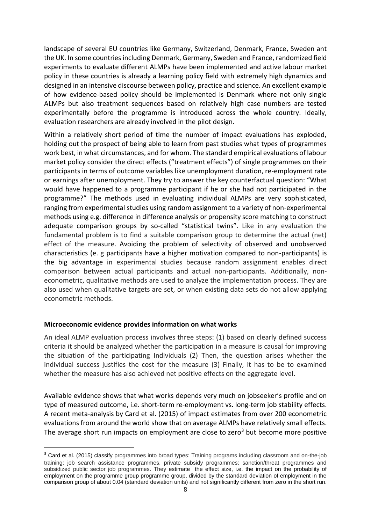landscape of several EU countries like Germany, Switzerland, Denmark, France, Sweden ant the UK. In some countries including Denmark, Germany, Sweden and France, randomized field experiments to evaluate different ALMPs have been implemented and active labour market policy in these countries is already a learning policy field with extremely high dynamics and designed in an intensive discourse between policy, practice and science. An excellent example of how evidence-based policy should be implemented is Denmark where not only single ALMPs but also treatment sequences based on relatively high case numbers are tested experimentally before the programme is introduced across the whole country. Ideally, evaluation researchers are already involved in the pilot design.

Within a relatively short period of time the number of impact evaluations has exploded, holding out the prospect of being able to learn from past studies what types of programmes work best, in what circumstances, and for whom. The standard empirical evaluations of labour market policy consider the direct effects ("treatment effects") of single programmes on their participants in terms of outcome variables like unemployment duration, re-employment rate or earnings after unemployment. They try to answer the key counterfactual question: "What would have happened to a programme participant if he or she had not participated in the programme?" The methods used in evaluating individual ALMPs are very sophisticated, ranging from experimental studies using random assignment to a variety of non-experimental methods using e.g. difference in difference analysis or propensity score matching to construct adequate comparison groups by so-called "statistical twins". Like in any evaluation the fundamental problem is to find a suitable comparison group to determine the actual (net) effect of the measure. Avoiding the problem of selectivity of observed and unobserved characteristics (e. g participants have a higher motivation compared to non-participants) is the big advantage in experimental studies because random assignment enables direct comparison between actual participants and actual non-participants. Additionally, noneconometric, qualitative methods are used to analyze the implementation process. They are also used when qualitative targets are set, or when existing data sets do not allow applying econometric methods.

#### **Microeconomic evidence provides information on what works**

**.** 

An ideal ALMP evaluation process involves three steps: (1) based on clearly defined success criteria it should be analyzed whether the participation in a measure is causal for improving the situation of the participating Individuals (2) Then, the question arises whether the individual success justifies the cost for the measure (3) Finally, it has to be to examined whether the measure has also achieved net positive effects on the aggregate level.

Available evidence shows that what works depends very much on jobseeker's profile and on type of measured outcome, i.e. short-term re-employment vs. long-term job stability effects. A recent meta-analysis by Card et al. (2015) of impact estimates from over 200 econometric evaluations from around the world show that on average ALMPs have relatively small effects. The average short run impacts on employment are close to zero<sup>3</sup> but become more positive

<sup>&</sup>lt;sup>3</sup> Card et al. (2015) classify programmes into broad types: Training programs including classroom and on-the-job training; job search assistance programmes, private subsidy programmes; sanction/threat programmes and subsidized public sector job programmes. They estimate the effect size, i.e. the impact on the probability of employment on the programme group programme group, divided by the standard deviation of employment in the comparison group of about 0.04 (standard deviation units) and not significantly different from zero in the short run.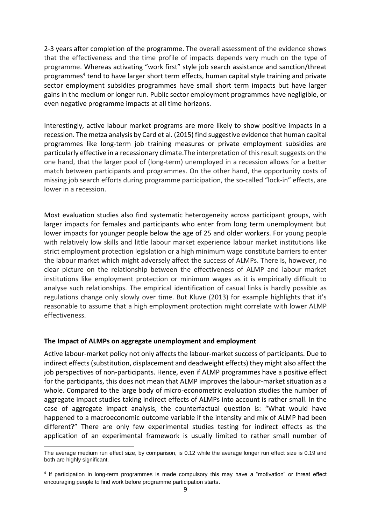2-3 years after completion of the programme. The overall assessment of the evidence shows that the effectiveness and the time profile of impacts depends very much on the type of programme. Whereas activating "work first" style job search assistance and sanction/threat programmes<sup>4</sup> tend to have larger short term effects, human capital style training and private sector employment subsidies programmes have small short term impacts but have larger gains in the medium or longer run. Public sector employment programmes have negligible, or even negative programme impacts at all time horizons.

Interestingly, active labour market programs are more likely to show positive impacts in a recession. The metza analysis by Card et al. (2015) find suggestive evidence that human capital programmes like long-term job training measures or private employment subsidies are particularly effective in a recessionary climate.The interpretation of this result suggests on the one hand, that the larger pool of (long-term) unemployed in a recession allows for a better match between participants and programmes. On the other hand, the opportunity costs of missing job search efforts during programme participation, the so-called "lock-in" effects, are lower in a recession.

Most evaluation studies also find systematic heterogeneity across participant groups, with larger impacts for females and participants who enter from long term unemployment but lower impacts for younger people below the age of 25 and older workers. For young people with relatively low skills and little labour market experience labour market institutions like strict employment protection legislation or a high minimum wage constitute barriers to enter the labour market which might adversely affect the success of ALMPs. There is, however, no clear picture on the relationship between the effectiveness of ALMP and labour market institutions like employment protection or minimum wages as it is empirically difficult to analyse such relationships. The empirical identification of casual links is hardly possible as regulations change only slowly over time. But Kluve (2013) for example highlights that it's reasonable to assume that a high employment protection might correlate with lower ALMP effectiveness.

#### **The Impact of ALMPs on aggregate unemployment and employment**

Active labour-market policy not only affects the labour-market success of participants. Due to indirect effects (substitution, displacement and deadweight effects) they might also affect the job perspectives of non-participants. Hence, even if ALMP programmes have a positive effect for the participants, this does not mean that ALMP improves the labour-market situation as a whole. Compared to the large body of micro-econometric evaluation studies the number of aggregate impact studies taking indirect effects of ALMPs into account is rather small. In the case of aggregate impact analysis, the counterfactual question is: "What would have happened to a macroeconomic outcome variable if the intensity and mix of ALMP had been different?" There are only few experimental studies testing for indirect effects as the application of an experimental framework is usually limited to rather small number of

<sup>1</sup> The average medium run effect size, by comparison, is 0.12 while the average longer run effect size is 0.19 and both are highly significant.

<sup>4</sup> If participation in long-term programmes is made compulsory this may have a "motivation" or threat effect encouraging people to find work before programme participation starts.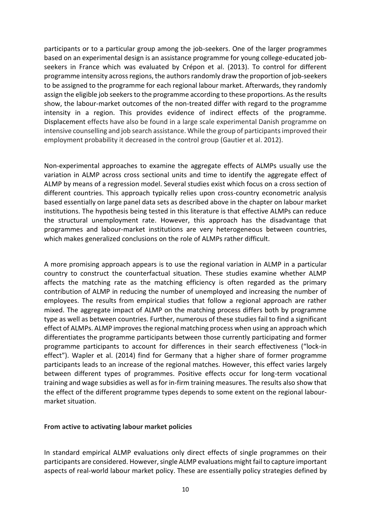participants or to a particular group among the job-seekers. One of the larger programmes based on an experimental design is an assistance programme for young college-educated jobseekers in France which was evaluated by Crépon et al. (2013). To control for different programme intensity across regions, the authors randomly draw the proportion of job-seekers to be assigned to the programme for each regional labour market. Afterwards, they randomly assign the eligible job seekers to the programme according to these proportions. As the results show, the labour-market outcomes of the non-treated differ with regard to the programme intensity in a region. This provides evidence of indirect effects of the programme. Displacement effects have also be found in a large scale experimental Danish programme on intensive counselling and job search assistance. While the group of participants improved their employment probability it decreased in the control group (Gautier et al. 2012).

Non-experimental approaches to examine the aggregate effects of ALMPs usually use the variation in ALMP across cross sectional units and time to identify the aggregate effect of ALMP by means of a regression model. Several studies exist which focus on a cross section of different countries. This approach typically relies upon cross-country econometric analysis based essentially on large panel data sets as described above in the chapter on labour market institutions. The hypothesis being tested in this literature is that effective ALMPs can reduce the structural unemployment rate. However, this approach has the disadvantage that programmes and labour-market institutions are very heterogeneous between countries, which makes generalized conclusions on the role of ALMPs rather difficult.

A more promising approach appears is to use the regional variation in ALMP in a particular country to construct the counterfactual situation. These studies examine whether ALMP affects the matching rate as the matching efficiency is often regarded as the primary contribution of ALMP in reducing the number of unemployed and increasing the number of employees. The results from empirical studies that follow a regional approach are rather mixed. The aggregate impact of ALMP on the matching process differs both by programme type as well as between countries. Further, numerous of these studies fail to find a significant effect of ALMPs. ALMP improves the regional matching process when using an approach which differentiates the programme participants between those currently participating and former programme participants to account for differences in their search effectiveness ("lock-in effect"). Wapler et al. (2014) find for Germany that a higher share of former programme participants leads to an increase of the regional matches. However, this effect varies largely between different types of programmes. Positive effects occur for long-term vocational training and wage subsidies as well as for in-firm training measures. The results also show that the effect of the different programme types depends to some extent on the regional labourmarket situation.

#### **From active to activating labour market policies**

In standard empirical ALMP evaluations only direct effects of single programmes on their participants are considered. However, single ALMP evaluations might fail to capture important aspects of real-world labour market policy. These are essentially policy strategies defined by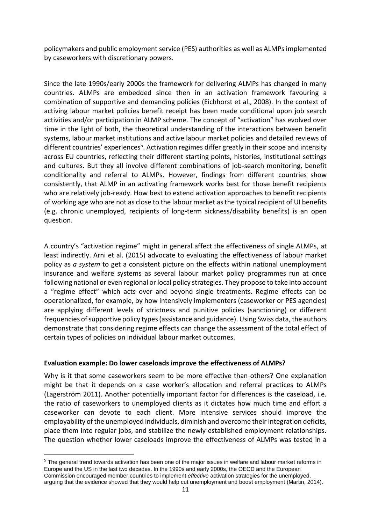policymakers and public employment service (PES) authorities as well as ALMPs implemented by caseworkers with discretionary powers.

Since the late 1990s/early 2000s the framework for delivering ALMPs has changed in many countries. ALMPs are embedded since then in an activation framework favouring a combination of supportive and demanding policies (Eichhorst et al., 2008). In the context of activing labour market policies benefit receipt has been made conditional upon job search activities and/or participation in ALMP scheme. The concept of "activation" has evolved over time in the light of both, the theoretical understanding of the interactions between benefit systems, labour market institutions and active labour market policies and detailed reviews of different countries' experiences<sup>5</sup>. Activation regimes differ greatly in their scope and intensity across EU countries, reflecting their different starting points, histories, institutional settings and cultures. But they all involve different combinations of job-search monitoring, benefit conditionality and referral to ALMPs. However, findings from different countries show consistently, that ALMP in an activating framework works best for those benefit recipients who are relatively job-ready. How best to extend activation approaches to benefit recipients of working age who are not as close to the labour market as the typical recipient of UI benefits (e.g. chronic unemployed, recipients of long-term sickness/disability benefits) is an open question.

A country's "activation regime" might in general affect the effectiveness of single ALMPs, at least indirectly. Arni et al. (2015) advocate to evaluating the effectiveness of labour market policy as *a system* to get a consistent picture on the effects within national unemployment insurance and welfare systems as several labour market policy programmes run at once following national or even regional or local policy strategies. They propose to take into account a "regime effect" which acts over and beyond single treatments. Regime effects can be operationalized, for example, by how intensively implementers (caseworker or PES agencies) are applying different levels of strictness and punitive policies (sanctioning) or different frequencies of supportive policy types (assistance and guidance). Using Swiss data, the authors demonstrate that considering regime effects can change the assessment of the total effect of certain types of policies on individual labour market outcomes.

## **Evaluation example: Do lower caseloads improve the effectiveness of ALMPs?**

**.** 

Why is it that some caseworkers seem to be more effective than others? One explanation might be that it depends on a case worker's allocation and referral practices to ALMPs (Lagerström 2011). Another potentially important factor for differences is the caseload, i.e. the ratio of caseworkers to unemployed clients as it dictates how much time and effort a caseworker can devote to each client. More intensive services should improve the employability of the unemployed individuals, diminish and overcome their integration deficits, place them into regular jobs, and stabilize the newly established employment relationships. The question whether lower caseloads improve the effectiveness of ALMPs was tested in a

<sup>&</sup>lt;sup>5</sup> The general trend towards activation has been one of the major issues in welfare and labour market reforms in Europe and the US in the last two decades. In the 1990s and early 2000s, the OECD and the European Commission encouraged member countries to implement *effective* activation strategies for the unemployed, arguing that the evidence showed that they would help cut unemployment and boost employment (Martin, 2014).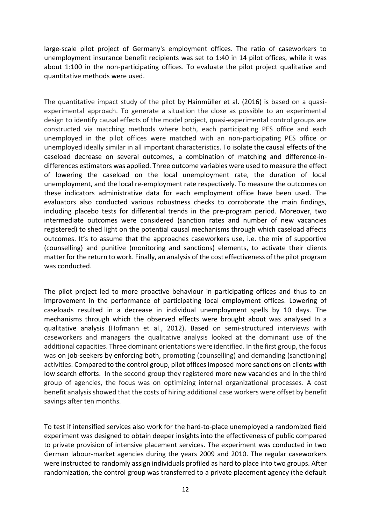large-scale pilot project of Germany's employment offices. The ratio of caseworkers to unemployment insurance benefit recipients was set to 1:40 in 14 pilot offices, while it was about 1:100 in the non-participating offices. To evaluate the pilot project qualitative and quantitative methods were used.

The quantitative impact study of the pilot by Hainmüller et al. (2016) is based on a quasiexperimental approach. To generate a situation the close as possible to an experimental design to identify causal effects of the model project, quasi-experimental control groups are constructed via matching methods where both, each participating PES office and each unemployed in the pilot offices were matched with an non-participating PES office or unemployed ideally similar in all important characteristics. To isolate the causal effects of the caseload decrease on several outcomes, a combination of matching and difference-indifferences estimators was applied. Three outcome variables were used to measure the effect of lowering the caseload on the local unemployment rate, the duration of local unemployment, and the local re-employment rate respectively. To measure the outcomes on these indicators administrative data for each employment office have been used. The evaluators also conducted various robustness checks to corroborate the main findings, including placebo tests for differential trends in the pre-program period. Moreover, two intermediate outcomes were considered (sanction rates and number of new vacancies registered) to shed light on the potential causal mechanisms through which caseload affects outcomes. It's to assume that the approaches caseworkers use, i.e. the mix of supportive (counselling) and punitive (monitoring and sanctions) elements, to activate their clients matter for the return to work. Finally, an analysis of the cost effectiveness of the pilot program was conducted.

The pilot project led to more proactive behaviour in participating offices and thus to an improvement in the performance of participating local employment offices. Lowering of caseloads resulted in a decrease in individual unemployment spells by 10 days. The mechanisms through which the observed effects were brought about was analysed In a qualitative analysis (Hofmann et al., 2012). Based on semi-structured interviews with caseworkers and managers the qualitative analysis looked at the dominant use of the additional capacities. Three dominant orientations were identified. In the first group, the focus was on job-seekers by enforcing both, promoting (counselling) and demanding (sanctioning) activities. Compared to the control group, pilot offices imposed more sanctions on clients with low search efforts. In the second group they registered more new vacancies and in the third group of agencies, the focus was on optimizing internal organizational processes. A cost benefit analysis showed that the costs of hiring additional case workers were offset by benefit savings after ten months.

To test if intensified services also work for the hard-to-place unemployed a randomized field experiment was designed to obtain deeper insights into the effectiveness of public compared to private provision of intensive placement services. The experiment was conducted in two German labour-market agencies during the years 2009 and 2010. The regular caseworkers were instructed to randomly assign individuals profiled as hard to place into two groups. After randomization, the control group was transferred to a private placement agency (the default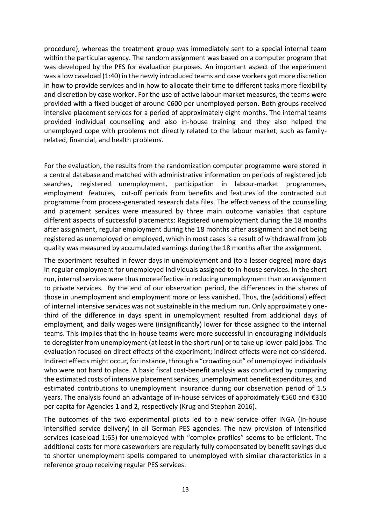procedure), whereas the treatment group was immediately sent to a special internal team within the particular agency. The random assignment was based on a computer program that was developed by the PES for evaluation purposes. An important aspect of the experiment was a low caseload (1:40) in the newly introduced teams and case workers got more discretion in how to provide services and in how to allocate their time to different tasks more flexibility and discretion by case worker. For the use of active labour-market measures, the teams were provided with a fixed budget of around €600 per unemployed person. Both groups received intensive placement services for a period of approximately eight months. The internal teams provided individual counselling and also in-house training and they also helped the unemployed cope with problems not directly related to the labour market, such as familyrelated, financial, and health problems.

For the evaluation, the results from the randomization computer programme were stored in a central database and matched with administrative information on periods of registered job searches, registered unemployment, participation in labour-market programmes, employment features, cut-off periods from benefits and features of the contracted out programme from process-generated research data files. The effectiveness of the counselling and placement services were measured by three main outcome variables that capture different aspects of successful placements: Registered unemployment during the 18 months after assignment, regular employment during the 18 months after assignment and not being registered as unemployed or employed, which in most cases is a result of withdrawal from job quality was measured by accumulated earnings during the 18 months after the assignment.

The experiment resulted in fewer days in unemployment and (to a lesser degree) more days in regular employment for unemployed individuals assigned to in-house services. In the short run, internal services were thus more effective in reducing unemployment than an assignment to private services. By the end of our observation period, the differences in the shares of those in unemployment and employment more or less vanished. Thus, the (additional) effect of internal intensive services was not sustainable in the medium run. Only approximately onethird of the difference in days spent in unemployment resulted from additional days of employment, and daily wages were (insignificantly) lower for those assigned to the internal teams. This implies that the in-house teams were more successful in encouraging individuals to deregister from unemployment (at least in the short run) or to take up lower-paid jobs. The evaluation focused on direct effects of the experiment; indirect effects were not considered. Indirect effects might occur, for instance, through a "crowding out" of unemployed individuals who were not hard to place. A basic fiscal cost-benefit analysis was conducted by comparing the estimated costs of intensive placement services, unemployment benefit expenditures, and estimated contributions to unemployment insurance during our observation period of 1.5 years. The analysis found an advantage of in-house services of approximately €560 and €310 per capita for Agencies 1 and 2, respectively (Krug and Stephan 2016).

The outcomes of the two experimental pilots led to a new service offer INGA (In-house intensified service delivery) in all German PES agencies. The new provision of intensified services (caseload 1:65) for unemployed with "complex profiles" seems to be efficient. The additional costs for more caseworkers are regularly fully compensated by benefit savings due to shorter unemployment spells compared to unemployed with similar characteristics in a reference group receiving regular PES services.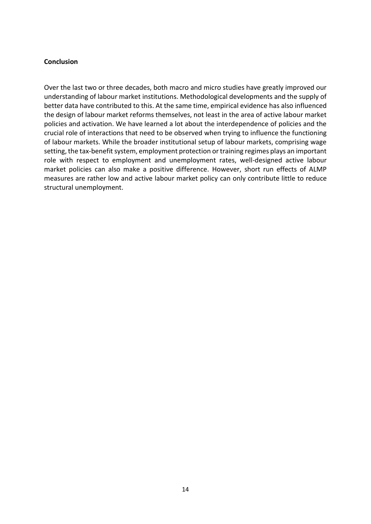#### **Conclusion**

Over the last two or three decades, both macro and micro studies have greatly improved our understanding of labour market institutions. Methodological developments and the supply of better data have contributed to this. At the same time, empirical evidence has also influenced the design of labour market reforms themselves, not least in the area of active labour market policies and activation. We have learned a lot about the interdependence of policies and the crucial role of interactions that need to be observed when trying to influence the functioning of labour markets. While the broader institutional setup of labour markets, comprising wage setting, the tax-benefit system, employment protection or training regimes plays an important role with respect to employment and unemployment rates, well-designed active labour market policies can also make a positive difference. However, short run effects of ALMP measures are rather low and active labour market policy can only contribute little to reduce structural unemployment.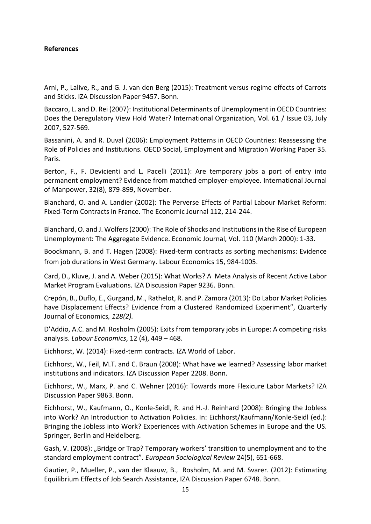#### **References**

Arni, P., Lalive, R., and G. J. van den Berg (2015): Treatment versus regime effects of Carrots and Sticks. IZA Discussion Paper 9457. Bonn.

Baccaro, L. and D. Rei (2007): Institutional Determinants of Unemployment in OECD Countries: Does the Deregulatory View Hold Water? [International Organization,](http://journals.cambridge.org/action/displayJournal?jid=INO) Vol. 61 / Issue 03, July 2007, 527-569.

Bassanini, A. and R. Duval (2006): Employment Patterns in OECD Countries: Reassessing the Role of Policies and Institutions. OECD Social, Employment and Migration Working Paper 35. Paris.

Berton, F., F. Devicienti and L. Pacelli (2011): Are temporary jobs a port of entry into permanent employment? Evidence from matched employer-employee. International Journal of Manpower, 32(8), 879-899, November.

Blanchard, O. and A. Landier (2002): The Perverse Effects of Partial Labour Market Reform: Fixed-Term Contracts in France. The Economic Journal 112, 214-244.

Blanchard, O. and J. Wolfers (2000): The Role of Shocks and Institutions in the Rise of European Unemployment: The Aggregate Evidence. Economic Journal, Vol. 110 (March 2000): 1-33.

Boockmann, B. and T. Hagen (2008): Fixed-term contracts as sorting mechanisms: Evidence from job durations in West Germany. Labour Economics 15, 984-1005.

Card, D., Kluve, J. and A. Weber (2015): What Works? A Meta Analysis of Recent Active Labor Market Program Evaluations. IZA Discussion Paper 9236. Bonn.

Crepón, B., Duflo, E., Gurgand, M., Rathelot, R. and P. Zamora (2013): Do Labor Market Policies have Displacement Effects? Evidence from a Clustered Randomized Experiment", Quarterly Journal of Economics*, 128(2).*

D'Addio, A.C. and M. Rosholm (2005): Exits from temporary jobs in Europe: A competing risks analysis. *Labour Economics*, 12 (4), 449 – 468.

Eichhorst, W. (2014): Fixed-term contracts. IZA World of Labor.

Eichhorst, W., Feil, M.T. and C. Braun (2008): What have we learned? Assessing labor market institutions and indicators. IZA Discussion Paper 2208. Bonn.

Eichhorst, W., Marx, P. and C. Wehner (2016): Towards more Flexicure Labor Markets? IZA Discussion Paper 9863. Bonn.

Eichhorst, W., Kaufmann, O., Konle-Seidl, R. and H.-J. Reinhard (2008): Bringing the Jobless into Work? An Introduction to Activation Policies. In: Eichhorst/Kaufmann/Konle-Seidl (ed.): Bringing the Jobless into Work? Experiences with Activation Schemes in Europe and the US. Springer, Berlin and Heidelberg.

Gash, V. (2008): "Bridge or Trap? Temporary workers' transition to unemployment and to the standard employment contract". *European Sociological Review* 24(5), 651-668.

Gautier, P., Mueller, P., van der Klaauw, B., Rosholm, M. and M. Svarer. (2012): Estimating Equilibrium Effects of Job Search Assistance, IZA Discussion Paper 6748. Bonn.